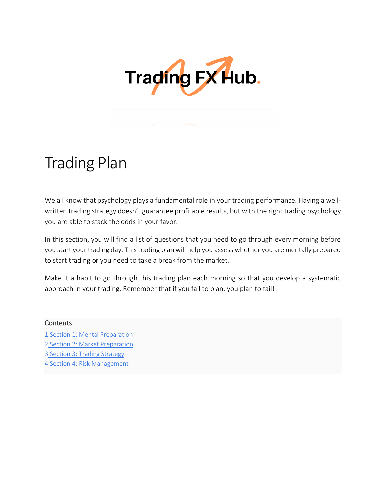

# Trading [Plan](https://tradingfxhub.com/trading-plan/)

We all know that psychology plays a fundamental role in your trading performance. Having a wellwritten trading strategy doesn't guarantee profitable results, but with the right trading psychology you are able to stack the odds in your favor.

In this section, you will find a list of questions that you need to go through every morning before you start your trading day. This trading plan will help you assess whether you are mentally prepared to start trading or you need to take a break from the market.

Make it a habit to go through this trading plan each morning so that you develop a systematic approach in your trading. Remember that if you fail to plan, you plan to fail!

#### **Contents**

1 Section 1: Mental Preparation

- 2 Section 2: Market Preparation
- 3 Section 3: Trading Strategy
- 4 Section 4: Risk Management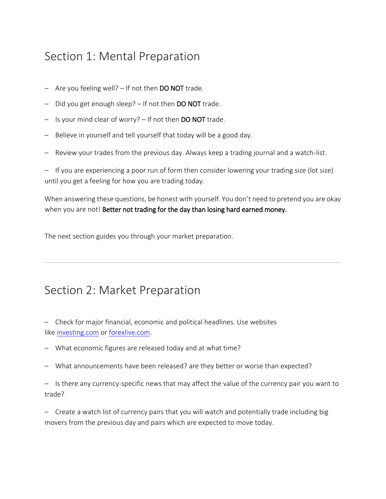# Section 1: Mental Preparation

- Are you feeling well? If not then **DO NOT** trade.
- Did you get enough sleep? If not then DO NOT trade.
- Is your mind clear of worry? If not then DO NOT trade.
- Believe in yourself and tell yourself that today will be a good day.
- Review your trades from the previous day. Always keep a trading journal and a watch-list.

– If you are experiencing a poor run of form then consider lowering your trading size (lot size) until you get a feeling for how you are trading today.

When answering these questions, be honest with yourself. You don't need to pretend you are okay when you are not! Better not trading for the day than losing hard earned money.

The next section guides you through your market preparation.

### Section 2: Market Preparation

– Check for major financial, economic and political headlines. Use websites like [investing.com](https://www.investing.com/economic-calendar/) or [forexlive.com.](https://www.forexlive.com/)

- What economic figures are released today and at what time?
- What announcements have been released? are they better or worse than expected?

– Is there any currency-specific news that may affect the value of the currency pair you want to trade?

– Create a watch list of currency pairs that you will watch and potentially trade including big movers from the previous day and pairs which are expected to move today.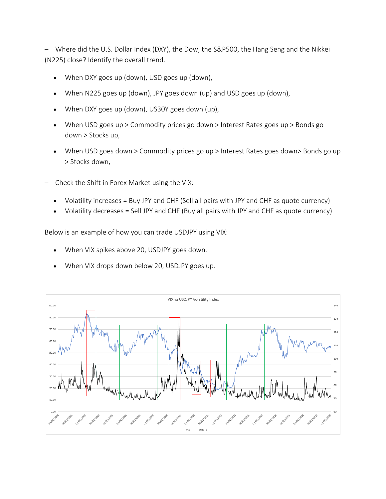– Where did the U.S. Dollar Index (DXY), the Dow, the S&P500, the Hang Seng and the Nikkei (N225) close? Identify the overall trend.

- When DXY goes up (down), USD goes up (down),
- When N225 goes up (down), JPY goes down (up) and USD goes up (down),
- When DXY goes up (down), US30Y goes down (up),
- When USD goes up > Commodity prices go down > Interest Rates goes up > Bonds go down > Stocks up,
- When USD goes down > Commodity prices go up > Interest Rates goes down> Bonds go up > Stocks down,
- Check the Shift in Forex Market using the VIX:
	- Volatility increases = Buy JPY and CHF (Sell all pairs with JPY and CHF as quote currency)
	- Volatility decreases = Sell JPY and CHF (Buy all pairs with JPY and CHF as quote currency)

Below is an example of how you can trade USDJPY using VIX:

- When VIX spikes above 20, USDJPY goes down.
- When VIX drops down below 20, USDJPY goes up.

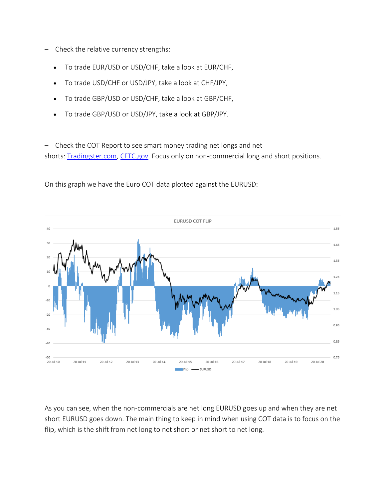- Check the relative currency strengths:
	- To trade EUR/USD or USD/CHF, take a look at EUR/CHF,
	- To trade USD/CHF or USD/JPY, take a look at CHF/JPY,
	- To trade GBP/USD or USD/CHF, take a look at GBP/CHF,
	- To trade GBP/USD or USD/JPY, take a look at GBP/JPY.

– Check the COT Report to see smart money trading net longs and net shorts: [Tradingster.com,](https://tradingster.com/cot) [CFTC.gov.](https://www.cftc.gov/dea/futures/financial_lf.htm) Focus only on non-commercial long and short positions.



On this graph we have the Euro COT data plotted against the EURUSD:

As you can see, when the non-commercials are net long EURUSD goes up and when they are net short EURUSD goes down. The main thing to keep in mind when using COT data is to focus on the flip, which is the shift from net long to net short or net short to net long.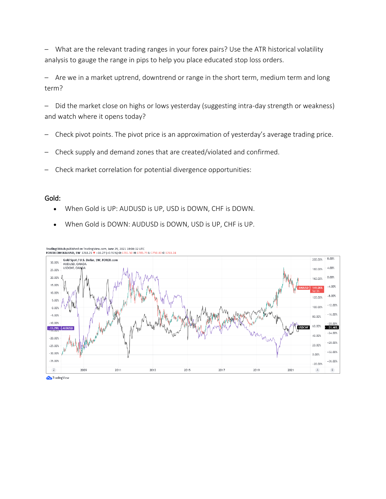– What are the relevant trading ranges in your forex pairs? Use the ATR historical volatility analysis to gauge the range in pips to help you place educated stop loss orders.

– Are we in a market uptrend, downtrend or range in the short term, medium term and long term?

– Did the market close on highs or lows yesterday (suggesting intra-day strength or weakness) and watch where it opens today?

- Check pivot points. The pivot price is an approximation of yesterday's average trading price.
- Check supply and demand zones that are created/violated and confirmed.
- Check market correlation for potential divergence opportunities:

#### Gold:

- When Gold is UP: AUDUSD is UP, USD is DOWN, CHF is DOWN.
- When Gold is DOWN: AUDUSD is DOWN, USD is UP, CHF is UP.



Trading View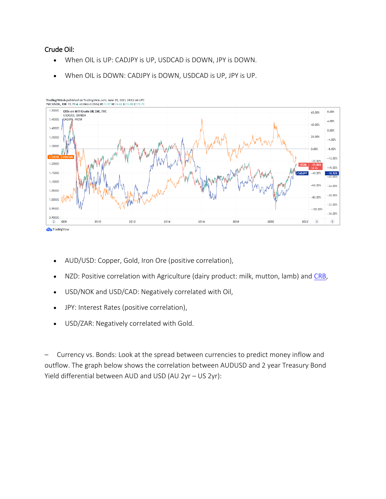#### Crude Oil:

- When OIL is UP: CADJPY is UP, USDCAD is DOWN, JPY is DOWN.
- When OIL is DOWN: CADJPY is DOWN, USDCAD is UP, JPY is UP.



TradingFXHub published on TradingView.com, June 29, 2021 18:01:44 UTC

- AUD/USD: Copper, Gold, Iron Ore (positive correlation),
- NZD: Positive correlation with Agriculture (dairy product: milk, mutton, lamb) and [CRB,](https://www.investing.com/indices/thomson-reuters---jefferies-crb-historical-data)
- USD/NOK and USD/CAD: Negatively correlated with Oil,
- JPY: Interest Rates (positive correlation),
- USD/ZAR: Negatively correlated with Gold.

– Currency vs. Bonds: Look at the spread between currencies to predict money inflow and outflow. The graph below shows the correlation between AUDUSD and 2 year Treasury Bond Yield differential between AUD and USD (AU 2yr – US 2yr):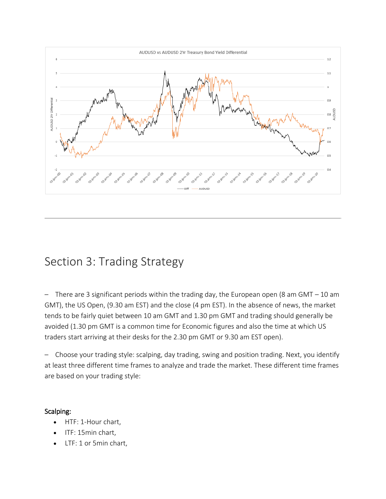

# Section 3: Trading Strategy

There are 3 significant periods within the trading day, the European open (8 am GMT  $-$  10 am GMT), the US Open, (9.30 am EST) and the close (4 pm EST). In the absence of news, the market tends to be fairly quiet between 10 am GMT and 1.30 pm GMT and trading should generally be avoided (1.30 pm GMT is a common time for Economic figures and also the time at which US traders start arriving at their desks for the 2.30 pm GMT or 9.30 am EST open).

– Choose your trading style: scalping, day trading, swing and position trading. Next, you identify at least three different time frames to analyze and trade the market. These different time frames are based on your trading style:

#### Scalping:

- HTF: 1-Hour chart,
- ITF: 15min chart,
- LTF: 1 or 5min chart,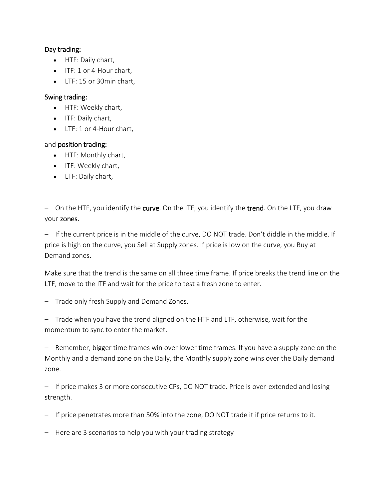#### Day trading:

- HTF: Daily chart,
- ITF: 1 or 4-Hour chart,
- LTF: 15 or 30 min chart.

#### Swing trading:

- HTF: Weekly chart,
- ITF: Daily chart,
- LTF: 1 or 4-Hour chart,

#### and position trading:

- HTF: Monthly chart,
- ITF: Weekly chart,
- LTF: Daily chart,

– On the HTF, you identify the curve. On the ITF, you identify the trend. On the LTF, you draw your zones.

– If the current price is in the middle of the curve, DO NOT trade. Don't diddle in the middle. If price is high on the curve, you Sell at Supply zones. If price is low on the curve, you Buy at Demand zones.

Make sure that the trend is the same on all three time frame. If price breaks the trend line on the LTF, move to the ITF and wait for the price to test a fresh zone to enter.

– Trade only fresh Supply and Demand Zones.

– Trade when you have the trend aligned on the HTF and LTF, otherwise, wait for the momentum to sync to enter the market.

– Remember, bigger time frames win over lower time frames. If you have a supply zone on the Monthly and a demand zone on the Daily, the Monthly supply zone wins over the Daily demand zone.

– If price makes 3 or more consecutive CPs, DO NOT trade. Price is over-extended and losing strength.

- If price penetrates more than 50% into the zone, DO NOT trade it if price returns to it.
- Here are 3 scenarios to help you with your trading strategy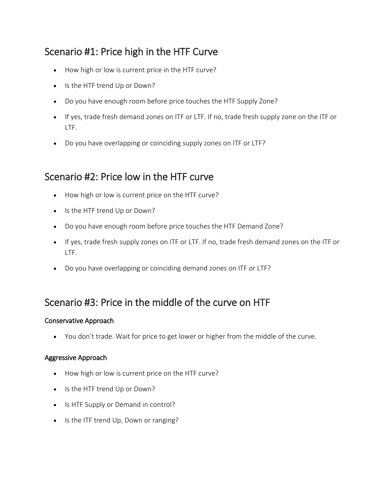### Scenario #1: Price high in the HTF Curve

- How high or low is current price in the HTF curve?
- Is the HTF trend Up or Down?
- Do you have enough room before price touches the HTF Supply Zone?
- If yes, trade fresh demand zones on ITF or LTF. If no, trade fresh supply zone on the ITF or LTF.
- Do you have overlapping or coinciding supply zones on ITF or LTF?

### Scenario #2: Price low in the HTF curve

- How high or low is current price on the HTF curve?
- Is the HTF trend Up or Down?
- Do you have enough room before price touches the HTF Demand Zone?
- If yes, trade fresh supply zones on ITF or LTF. If no, trade fresh demand zones on the ITF or LTF.
- Do you have overlapping or coinciding demand zones on ITF or LTF?

### Scenario #3: Price in the middle of the curve on HTF

### Conservative Approach

You don't trade. Wait for price to get lower or higher from the middle of the curve.

### Aggressive Approach

- How high or low is current price on the HTF curve?
- Is the HTF trend Up or Down?
- Is HTF Supply or Demand in control?
- Is the ITF trend Up, Down or ranging?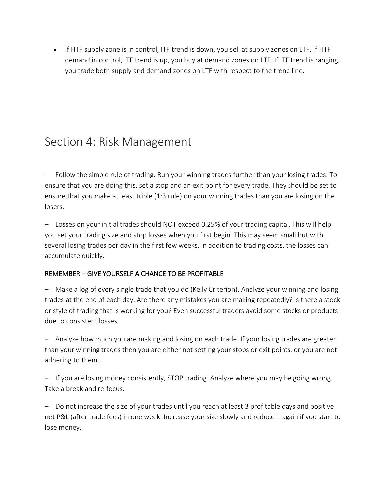If HTF supply zone is in control, ITF trend is down, you sell at supply zones on LTF. If HTF demand in control, ITF trend is up, you buy at demand zones on LTF. If ITF trend is ranging, you trade both supply and demand zones on LTF with respect to the trend line.

# Section 4: Risk Management

– Follow the simple rule of trading: Run your winning trades further than your losing trades. To ensure that you are doing this, set a stop and an exit point for every trade. They should be set to ensure that you make at least triple (1:3 rule) on your winning trades than you are losing on the losers.

– Losses on your initial trades should NOT exceed 0.25% of your trading capital. This will help you set your trading size and stop losses when you first begin. This may seem small but with several losing trades per day in the first few weeks, in addition to trading costs, the losses can accumulate quickly.

### REMEMBER – GIVE YOURSELF A CHANCE TO BE PROFITABLE

– Make a log of every single trade that you do (Kelly Criterion). Analyze your winning and losing trades at the end of each day. Are there any mistakes you are making repeatedly? Is there a stock or style of trading that is working for you? Even successful traders avoid some stocks or products due to consistent losses.

– Analyze how much you are making and losing on each trade. If your losing trades are greater than your winning trades then you are either not setting your stops or exit points, or you are not adhering to them.

– If you are losing money consistently, STOP trading. Analyze where you may be going wrong. Take a break and re-focus.

– Do not increase the size of your trades until you reach at least 3 profitable days and positive net P&L (after trade fees) in one week. Increase your size slowly and reduce it again if you start to lose money.